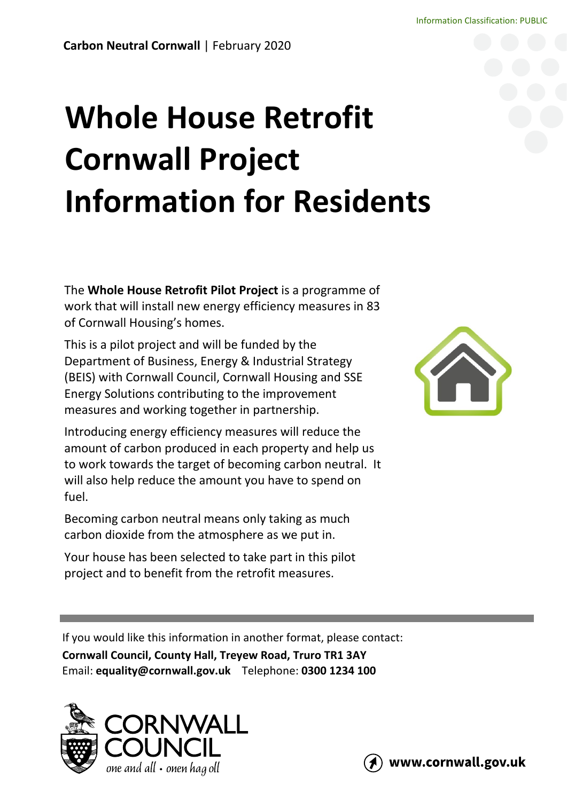# **Whole House Retrofit Cornwall Project Information for Residents**

The **Whole House Retrofit Pilot Project** is a programme of work that will install new energy efficiency measures in 83 of Cornwall Housing's homes.

This is a pilot project and will be funded by the Department of Business, Energy & Industrial Strategy (BEIS) with Cornwall Council, Cornwall Housing and SSE Energy Solutions contributing to the improvement measures and working together in partnership.

Introducing energy efficiency measures will reduce the amount of carbon produced in each property and help us to work towards the target of becoming carbon neutral. It will also help reduce the amount you have to spend on fuel.

Becoming carbon neutral means only taking as much carbon dioxide from the atmosphere as we put in.

Your house has been selected to take part in this pilot project and to benefit from the retrofit measures.



If you would like this information in another format, please contact:

**Cornwall Council, County Hall, Treyew Road, Truro TR1 3AY** Email: **[equality@cornwall.gov.uk](mailto:equality@cornwall.gov.uk)** Telephone: **0300 1234 100**





www.cornwall.gov.uk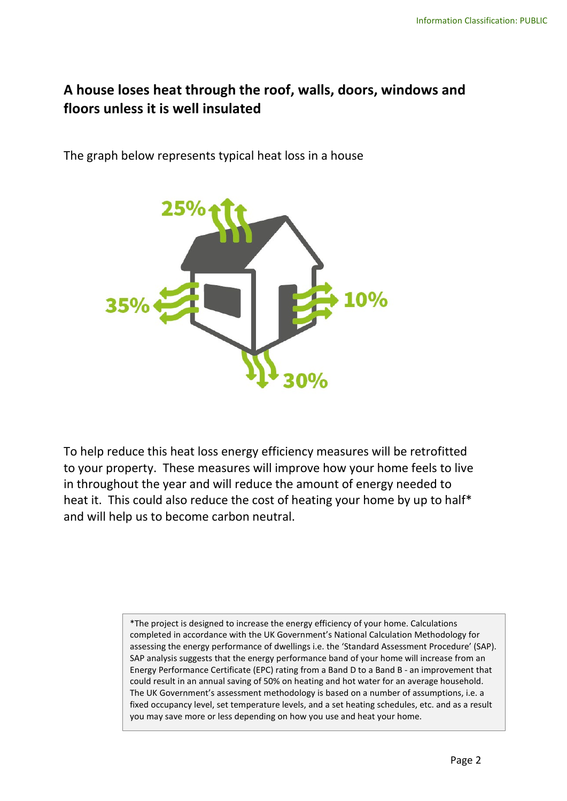#### **A house loses heat through the roof, walls, doors, windows and floors unless it is well insulated**

The graph below represents typical heat loss in a house



To help reduce this heat loss energy efficiency measures will be retrofitted to your property. These measures will improve how your home feels to live in throughout the year and will reduce the amount of energy needed to heat it. This could also reduce the cost of heating your home by up to half\* and will help us to become carbon neutral.

> \*The project is designed to increase the energy efficiency of your home. Calculations completed in accordance with the UK Government's National Calculation Methodology for assessing the energy performance of dwellings i.e. the 'Standard Assessment Procedure' (SAP). SAP analysis suggests that the energy performance band of your home will increase from an Energy Performance Certificate (EPC) rating from a Band D to a Band B - an improvement that could result in an annual saving of 50% on heating and hot water for an average household. The UK Government's assessment methodology is based on a number of assumptions, i.e. a fixed occupancy level, set temperature levels, and a set heating schedules, etc. and as a result you may save more or less depending on how you use and heat your home.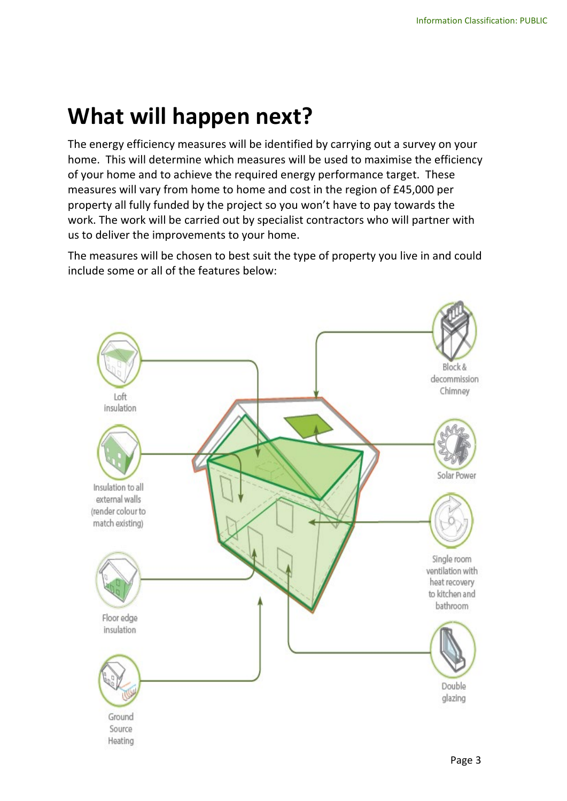## **What will happen next?**

The energy efficiency measures will be identified by carrying out a survey on your home. This will determine which measures will be used to maximise the efficiency of your home and to achieve the required energy performance target. These measures will vary from home to home and cost in the region of £45,000 per property all fully funded by the project so you won't have to pay towards the work. The work will be carried out by specialist contractors who will partner with us to deliver the improvements to your home.

The measures will be chosen to best suit the type of property you live in and could include some or all of the features below:

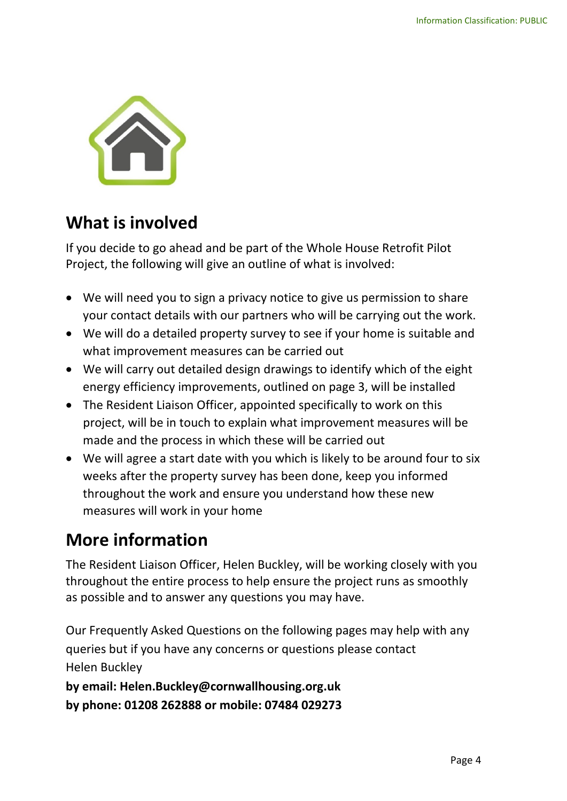

### **What is involved**

If you decide to go ahead and be part of the Whole House Retrofit Pilot Project, the following will give an outline of what is involved:

- We will need you to sign a privacy notice to give us permission to share your contact details with our partners who will be carrying out the work.
- We will do a detailed property survey to see if your home is suitable and what improvement measures can be carried out
- We will carry out detailed design drawings to identify which of the eight energy efficiency improvements, outlined on page 3, will be installed
- The Resident Liaison Officer, appointed specifically to work on this project, will be in touch to explain what improvement measures will be made and the process in which these will be carried out
- We will agree a start date with you which is likely to be around four to six weeks after the property survey has been done, keep you informed throughout the work and ensure you understand how these new measures will work in your home

## **More information**

The Resident Liaison Officer, Helen Buckley, will be working closely with you throughout the entire process to help ensure the project runs as smoothly as possible and to answer any questions you may have.

Our Frequently Asked Questions on the following pages may help with any queries but if you have any concerns or questions please contact Helen Buckley

**by email: Helen.Buckley@cornwallhousing.org.uk by phone: 01208 262888 or mobile: 07484 029273**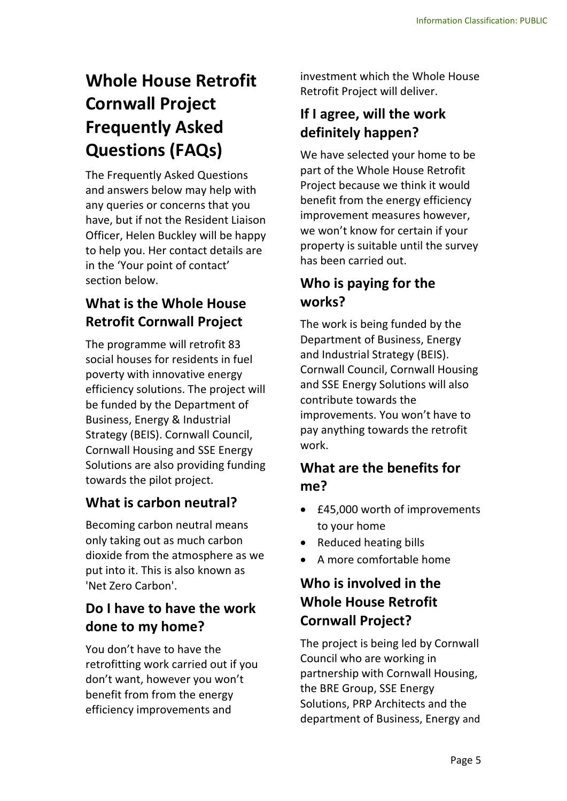## **Whole House Retrofit Cornwall Project Frequently Asked Questions (FAQs)**

The Frequently Asked Questions and answers below may help with any queries or concerns that you have, but if not the Resident Liaison Officer, Helen Buckley will be happy to help you. Her contact details are in the 'Your point of contact' section below.

#### **What is the Whole House Retrofit Cornwall Project**

The programme will retrofit 83 social houses for residents in fuel poverty with innovative energy efficiency solutions. The project will be funded by the Department of Business, Energy & Industrial Strategy (BEIS). Cornwall Council, Cornwall Housing and SSE Energy Solutions are also providing funding towards the pilot project.

#### **What is carbon neutral?**

Becoming carbon neutral means only taking out as much carbon dioxide from the atmosphere as we put into it. This is also known as 'Net Zero Carbon'.

#### **Do I have to have the work done to my home?**

You don't have to have the retrofitting work carried out if you don't want, however you won't benefit from from the energy efficiency improvements and

investment which the Whole House Retrofit Project will deliver.

#### **If I agree, will the work definitely happen?**

We have selected your home to be part of the Whole House Retrofit Project because we think it would benefit from the energy efficiency improvement measures however, we won't know for certain if your property is suitable until the survey has been carried out.

#### **Who is paying for the works?**

The work is being funded by the Department of Business, Energy and Industrial Strategy (BEIS). Cornwall Council, Cornwall Housing and SSE Energy Solutions will also contribute towards the improvements. You won't have to pay anything towards the retrofit work.

#### **What are the benefits for me?**

- £45,000 worth of improvements to your home
- Reduced heating bills
- A more comfortable home

#### **Who is involved in the Whole House Retrofit Cornwall Project?**

The project is being led by Cornwall Council who are working in partnership with Cornwall Housing, the BRE Group, SSE Energy Solutions, PRP Architects and the department of Business, Energy and